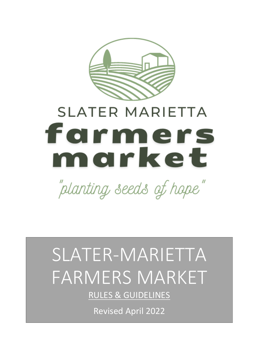

# **SLATER MARIETTA** farmers morket

"planting seeds of hope"

## SLATER-MARIETTA FARMERS MARKET

RULES & GUIDELINES

Revised April 2022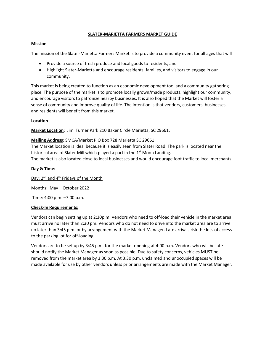#### **SLATER-MARIETTA FARMERS MARKET GUIDE**

#### **Mission**

The mission of the Slater-Marietta Farmers Market is to provide a community event for all ages that will

- Provide a source of fresh produce and local goods to residents, and
- Highlight Slater-Marietta and encourage residents, families, and visitors to engage in our community.

This market is being created to function as an economic development tool and a community gathering place. The purpose of the market is to promote locally grown/made products, highlight our community, and encourage visitors to patronize nearby businesses. It is also hoped that the Market will foster a sense of community and improve quality of life. The intention is that vendors, customers, businesses, and residents will benefit from this market.

#### **Location**

**Market Location**: Jimi Turner Park 210 Baker Circle Marietta, SC 29661.

#### **Mailing Address**: SMCA/Market P.O Box 728 Marietta SC 29661

The Market location is ideal because it is easily seen from Slater Road. The park is located near the historical area of Slater Mill which played a part in the 1<sup>st</sup> Moon Landing.

The market is also located close to local businesses and would encourage foot traffic to local merchants.

#### **Day & Time:**

Day: 2<sup>nd</sup> and 4<sup>th</sup> Fridays of the Month

Months: May – October 2022

Time: 4:00 p.m. –7:00 p.m.

#### **Check-In Requirements:**

Vendors can begin setting up at 2:30p.m. Vendors who need to off-load their vehicle in the market area must arrive no later than 2:30 pm. Vendors who do not need to drive into the market area are to arrive no later than 3:45 p.m. or by arrangement with the Market Manager. Late arrivals risk the loss of access to the parking lot for off-loading.

Vendors are to be set up by 3:45 p.m. for the market opening at 4:00 p.m. Vendors who will be late should notify the Market Manager as soon as possible. Due to safety concerns, vehicles MUST be removed from the market area by 3:30 p.m. At 3:30 p.m. unclaimed and unoccupied spaces will be made available for use by other vendors unless prior arrangements are made with the Market Manager.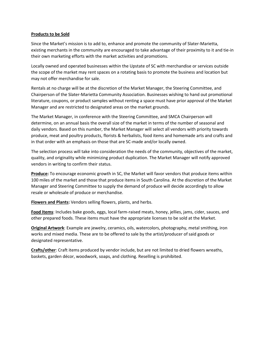#### **Products to be Sold**

Since the Market's mission is to add to, enhance and promote the community of Slater-Marietta, existing merchants in the community are encouraged to take advantage of their proximity to it and tie-in their own marketing efforts with the market activities and promotions.

Locally owned and operated businesses within the Upstate of SC with merchandise or services outside the scope of the market may rent spaces on a rotating basis to promote the business and location but may not offer merchandise for sale.

Rentals at no charge will be at the discretion of the Market Manager, the Steering Committee, and Chairperson of the Slater-Marietta Community Association. Businesses wishing to hand out promotional literature, coupons, or product samples without renting a space must have prior approval of the Market Manager and are restricted to designated areas on the market grounds.

The Market Manager, in conference with the Steering Committee, and SMCA Chairperson will determine, on an annual basis the overall size of the market in terms of the number of seasonal and daily vendors. Based on this number, the Market Manager will select all vendors with priority towards produce, meat and poultry products, florists & herbalists, food items and homemade arts and crafts and in that order with an emphasis on those that are SC-made and/or locally owned.

The selection process will take into consideration the needs of the community, objectives of the market, quality, and originality while minimizing product duplication. The Market Manager will notify approved vendors in writing to confirm their status.

**Produce:** To encourage economic growth in SC, the Market will favor vendors that produce items within 100 miles of the market and those that produce items in South Carolina. At the discretion of the Market Manager and Steering Committee to supply the demand of produce will decide accordingly to allow resale or wholesale of produce or merchandise.

**Flowers and Plants:** Vendors selling flowers, plants, and herbs.

**Food Items**: Includes bake goods, eggs, local farm-raised meats, honey, jellies, jams, cider, sauces, and other prepared foods. These items must have the appropriate licenses to be sold at the Market.

**Original Artwork**: Example are jewelry, ceramics, oils, watercolors, photography, metal smithing, iron works and mixed media. These are to be offered to sale by the artist/producer of said goods or designated representative.

**Crafts/other**: Craft items produced by vendor include, but are not limited to dried flowers wreaths, baskets, garden décor, woodwork, soaps, and clothing. Reselling is prohibited.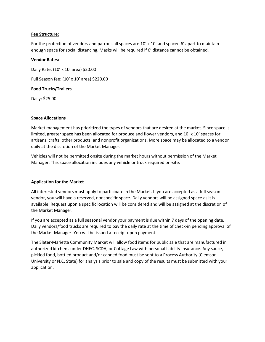#### **Fee Structure:**

For the protection of vendors and patrons all spaces are  $10' \times 10'$  and spaced 6' apart to maintain enough space for social distancing. Masks will be required if 6' distance cannot be obtained.

#### **Vendor Rates:**

Daily Rate: (10' x 10' area) \$20.00 Full Season fee: (10' x 10' area) \$220.00

#### **Food Trucks/Trailers**

Daily: \$25.00

#### **Space Allocations**

Market management has prioritized the types of vendors that are desired at the market. Since space is limited, greater space has been allocated for produce and flower vendors, and 10' x 10' spaces for artisans, crafts, other products, and nonprofit organizations. More space may be allocated to a vendor daily at the discretion of the Market Manager.

Vehicles will not be permitted onsite during the market hours without permission of the Market Manager. This space allocation includes any vehicle or truck required on-site.

#### **Application for the Market**

All interested vendors must apply to participate in the Market. If you are accepted as a full season vendor, you will have a reserved, nonspecific space. Daily vendors will be assigned space as it is available. Request upon a specific location will be considered and will be assigned at the discretion of the Market Manager.

If you are accepted as a full seasonal vendor your payment is due within 7 days of the opening date. Daily vendors/food trucks are required to pay the daily rate at the time of check-in pending approval of the Market Manager. You will be issued a receipt upon payment.

The Slater-Marietta Community Market will allow food items for public sale that are manufactured in authorized kitchens under DHEC, SCDA, or Cottage Law with personal liability insurance. Any sauce, pickled food, bottled product and/or canned food must be sent to a Process Authority (Clemson University or N.C. State) for analysis prior to sale and copy of the results must be submitted with your application.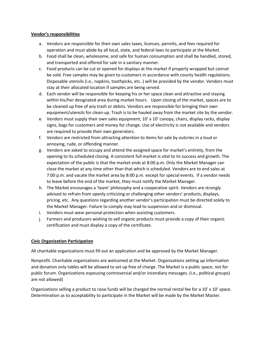#### **Vendor's responsibilities**

- a. Vendors are responsible for their own sales taxes, licenses, permits, and fees required for operation and must abide by all local, state, and federal laws to participate at the Market.
- b. Food shall be clean, wholesome, and safe for human consumption and shall be handled, stored, and transported and offered for sale in a sanitary manner.
- c. Food products can be cut or opened for displays at the market if properly wrapped but cannot be sold. Free samples may be given to customers in accordance with county health regulations. Disposable utensils (i.e., napkins, toothpicks, etc..) will be provided by the vendor. Vendors must stay at their allocated location if samples are being served.
- d. Each vendor will be responsible for keeping his or her space clean and attractive and staying within his/her designated area during market hours. Upon closing of the market, spaces are to be cleaned up free of any trash or debris. Vendors are responsible for bringing their own equipment/utensils for clean-up. Trash is to be hauled away from the market site by the vendor.
- e. Vendors must supply their own sales equipment; 10' x 10' canopy, chairs, display racks, display signs, bags for customers and money for change. Use of electricity is not available and vendors are required to provide their own generators.
- f. Vendors are restricted from attracting attention to items for sale by outcries in a loud or annoying, rude, or offending manner.
- g. Vendors are asked to occupy and attend the assigned space for market's entirety, from the opening to its scheduled closing. A consistent full market is vital to its success and growth. The expectation of the public is that the market ends at 8:00 p.m. Only the Market Manager can close the market at any time other than that which is scheduled. Vendors are to end sales at 7:00 p.m. and vacate the market area by 8:00 p.m. except for special events. If a vendor needs to leave before the end of the market, they must notify the Market Manager.
- h. The Market encourages a 'team' philosophy and a cooperative spirit. Vendors are strongly advised to refrain from openly criticizing or challenging other vendors' products, displays, pricing, etc. Any questions regarding another vendor's participation must be directed solely to the Market Manager. Failure to comply may lead to suspension and or dismissal.
- i. Vendors must wear personal protection when assisting customers.
- j. Farmers and producers wishing to sell organic products must provide a copy of their organic certification and must display a copy of the certificate.

#### **Civic Organization Participation**

All charitable organizations must fill out an application and be approved by the Market Manager.

Nonprofit. Charitable organizations are welcomed at the Market. Organizations setting up information and donation only tables will be allowed to set up free of charge. The Market is a public space, not for public forum. Organizations espousing controversial and/or incendiary messages. (i.e., political groups) are not allowed)

Organizations selling a product to raise funds will be charged the normal rental fee for a 10' x 10' space. Determination as to acceptability to participate in the Market will be made by the Market Master.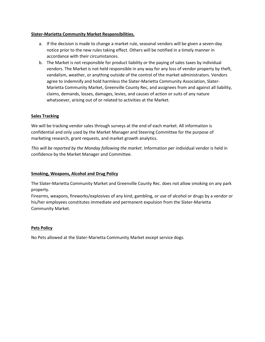#### **Slater-Marietta Community Market Responsibilities.**

- a. If the decision is made to change a market rule, seasonal vendors will be given a seven-day notice prior to the new rules taking effect. Others will be notified in a timely manner in accordance with their circumstances.
- b. The Market is not responsible for product liability or the paying of sales taxes by individual vendors. The Market is not held responsible in any way for any loss of vendor property by theft, vandalism, weather, or anything outside of the control of the market administrators. Vendors agree to indemnify and hold harmless the Slater-Marietta Community Association, Slater-Marietta Community Market, Greenville County Rec, and assignees from and against all liability, claims, demands, losses, damages, levies, and causes of action or suits of any nature whatsoever, arising out of or related to activities at the Market.

#### **Sales Tracking**

We will be tracking vendor sales through surveys at the end of each market. All information is confidential and only used by the Market Manager and Steering Committee for the purpose of marketing research, grant requests, and market growth analytics.

*This will be reported by the Monday following the market*. Information per individual vendor is held in confidence by the Market Manager and Committee.

#### **Smoking, Weapons, Alcohol and Drug Policy**

The Slater-Marietta Community Market and Greenville County Rec. does not allow smoking on any park property.

Firearms, weapons, fireworks/explosives of any kind, gambling, or use of alcohol or drugs by a vendor or his/her employees constitutes immediate and permanent expulsion from the Slater-Marietta Community Market.

#### **Pets Policy**

No Pets allowed at the Slater-Marietta Community Market except service dogs.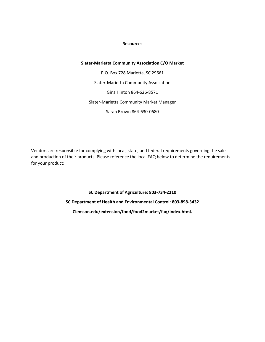#### **Resources**

#### **Slater-Marietta Community Association C/O Market**

P.O. Box 728 Marietta, SC 29661 Slater-Marietta Community Association Gina Hinton 864-626-8571 Slater-Marietta Community Market Manager Sarah Brown 864-630-0680

Vendors are responsible for complying with local, state, and federal requirements governing the sale and production of their products. Please reference the local FAQ below to determine the requirements for your product:

\_\_\_\_\_\_\_\_\_\_\_\_\_\_\_\_\_\_\_\_\_\_\_\_\_\_\_\_\_\_\_\_\_\_\_\_\_\_\_\_\_\_\_\_\_\_\_\_\_\_\_\_\_\_\_\_\_\_\_\_\_\_\_\_\_\_\_\_\_\_\_\_\_\_\_\_\_\_\_\_\_\_\_

**SC Department of Agriculture: 803-734-2210 SC Department of Health and Environmental Control: 803-898-3432 Clemson.edu/extension/food/food2market/faq/index.html.**